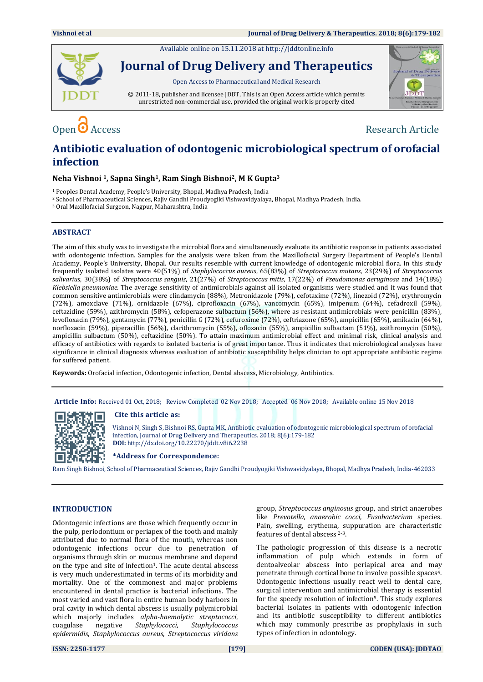Available online on 15.11.2018 a[t http://jddtonline.info](http://jddtonline.info/)



**Journal of Drug Delivery and Therapeutics**

Open Access to Pharmaceutical and Medical Research

© 2011-18, publisher and licensee JDDT, This is an Open Access article which permits unrestricted non-commercial use, provided the original work is properly cited



Open ● Access Research Article

# **Antibiotic evaluation of odontogenic microbiological spectrum of orofacial infection**

# **Neha Vishnoi 1, Sapna Singh1, Ram Singh Bishnoi2, M K Gupta<sup>3</sup>**

<sup>1</sup> Peoples Dental Academy, People's University, Bhopal, Madhya Pradesh, India

<sup>2</sup> School of Pharmaceutical Sciences, Rajiv Gandhi Proudyogiki Vishwavidyalaya, Bhopal, Madhya Pradesh, India.

<sup>3</sup> Oral Maxillofacial Surgeon, Nagpur, Maharashtra, India

# **ABSTRACT**

The aim of this study was to investigate the microbial flora and simultaneously evaluate its antibiotic response in patients associated with odontogenic infection. Samples for the analysis were taken from the Maxillofacial Surgery Department of People's Dental Academy, People's University, Bhopal. Our results resemble with current knowledge of odontogenic microbial flora. In this study frequently isolated isolates were 40(51%) of *Staphylococcus aureus*, 65(83%) of *Streptococcus mutans*, 23(29%) of *Streptococcus salivarius*, 30(38%) of *Streptococcus sanguis*, 21(27%) of *Streptococcus mitis*, 17(22%) of *Pseudomonas aeruginosa* and 14(18%) *Klebsiella pneumoniae*. The average sensitivity of antimicrobials against all isolated organisms were studied and it was found that common sensitive antimicrobials were clindamycin (88%), Metronidazole (79%), cefotaxime (72%), linezoid (72%), erythromycin (72%), amoxclave (71%), ornidazole (67%), ciprofloxacin (67%), vancomycin (65%), imipenum (64%), cefadroxil (59%), ceftazidine (59%), azithromycin (58%), cefoperazone sulbactum (56%), where as resistant antimicrobials were penicillin (83%), levofloxacin (79%), gentamycin (77%), penicillin G (72%), cefuroxime (72%), ceftriazone (65%), ampicillin (65%), amikacin (64%), norfloxacin (59%), piperacillin (56%), clarithromycin (55%), ofloxacin (55%), ampicillin sulbactam (51%), azithromycin (50%), ampicillin sulbactum (50%), ceftazidine (50%). To attain maximum antimicrobial effect and minimal risk, clinical analysis and efficacy of antibiotics with regards to isolated bacteria is of great importance. Thus it indicates that microbiological analyses have significance in clinical diagnosis whereas evaluation of antibiotic susceptibility helps clinician to opt appropriate antibiotic regime for suffered patient.

**Keywords:** Orofacial infection, Odontogenic infection, Dental abscess, Microbiology, Antibiotics.

**Article Info:** Received 01 Oct, 2018; Review Completed 02 Nov 2018; Accepted 06 Nov 2018; Available online 15 Nov 2018

# **Cite this article as:**



Vishnoi N, Singh S, Bishnoi RS, Gupta MK, Antibiotic evaluation of odontogenic microbiological spectrum of orofacial infection, Journal of Drug Delivery and Therapeutics. 2018; 8(6):179-182 **DOI:** <http://dx.doi.org/10.22270/jddt.v8i6.2238>

**\*Address for Correspondence:** 

Ram Singh Bishnoi, School of Pharmaceutical Sciences, Rajiv Gandhi Proudyogiki Vishwavidyalaya, Bhopal, Madhya Pradesh, India-462033

# **INTRODUCTION**

Odontogenic infections are those which frequently occur in the pulp, periodontium or periapex of the tooth and mainly attributed due to normal flora of the mouth, whereas non odontogenic infections occur due to penetration of organisms through skin or mucous membrane and depend on the type and site of infection<sup>1</sup>. The acute dental abscess is very much underestimated in terms of its morbidity and mortality. One of the commonest and major problems encountered in dental practice is bacterial infections. The most varied and vast flora in entire human body harbors in oral cavity in which dental abscess is usually polymicrobial which majorly includes *alpha-haemolytic streptococci*, coagulase negative *Staphylococci*, *Staphylococcus epidermidis*, *Staphylococcus aureus*, *Streptococcus viridans*

group, *Streptococcus anginosus* group, and strict anaerobes like *Prevotella, anaerobic cocci*, *Fusobacterium* species. Pain, swelling, erythema, suppuration are characteristic features of dental abscess 2-3.

The pathologic progression of this disease is a necrotic inflammation of pulp which extends in form of dentoalveolar abscess into periapical area and may penetrate through cortical bone to involve possible spaces4. Odontogenic infections usually react well to dental care, surgical intervention and antimicrobial therapy is essential for the speedy resolution of infection5. This study explores bacterial isolates in patients with odontogenic infection and its antibiotic susceptibility to different antibiotics which may commonly prescribe as prophylaxis in such types of infection in odontology.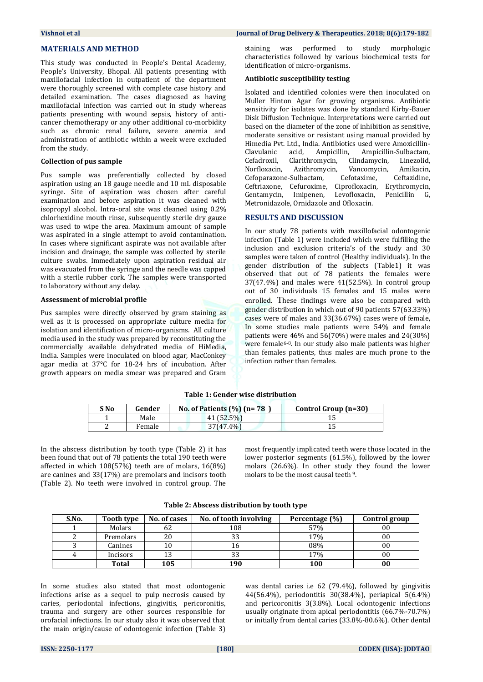# **MATERIALS AND METHOD**

This study was conducted in People's Dental Academy, People's University, Bhopal. All patients presenting with maxillofacial infection in outpatient of the department were thoroughly screened with complete case history and detailed examination. The cases diagnosed as having maxillofacial infection was carried out in study whereas patients presenting with wound sepsis, history of anticancer chemotherapy or any other additional co-morbidity such as chronic renal failure, severe anemia and administration of antibiotic within a week were excluded from the study.

### **Collection of pus sample**

Pus sample was preferentially collected by closed aspiration using an 18 gauge needle and 10 mL disposable syringe. Site of aspiration was chosen after careful examination and before aspiration it was cleaned with isopropyl alcohol. Intra-oral site was cleaned using 0.2% chlorhexidine mouth rinse, subsequently sterile dry gauze was used to wipe the area. Maximum amount of sample was aspirated in a single attempt to avoid contamination. In cases where significant aspirate was not available after incision and drainage, the sample was collected by sterile culture swabs. Immediately upon aspiration residual air was evacuated from the syringe and the needle was capped with a sterile rubber cork. The samples were transported to laboratory without any delay.

#### **Assessment of microbial profile**

Pus samples were directly observed by gram staining as well as it is processed on appropriate culture media for isolation and identification of micro-organisms. All culture media used in the study was prepared by reconstituting the commercially available dehydrated media of HiMedia, India. Samples were inoculated on blood agar, MacConkey agar media at 37°C for 18-24 hrs of incubation. After growth appears on media smear was prepared and Gram

#### **Vishnoi et al Journal of Drug Delivery & Therapeutics. 2018; 8(6):179-182**

staining was performed to study morphologic characteristics followed by various biochemical tests for identification of micro-organisms.

#### **Antibiotic susceptibility testing**

Isolated and identified colonies were then inoculated on Muller Hinton Agar for growing organisms. Antibiotic sensitivity for isolates was done by standard Kirby-Bauer Disk Diffusion Technique. Interpretations were carried out based on the diameter of the zone of inhibition as sensitive, moderate sensitive or resistant using manual provided by Himedia Pvt. Ltd., India. Antibiotics used were Amoxicillin-Clavulanic acid, Ampicillin, Ampicillin-Sulbactam, Cefadroxil, Clarithromycin, Clindamycin, Linezolid, Norfloxacin, Azithromycin, Vancomycin, Amikacin, Cefoparazone-Sulbactam, Cefotaxime, Ceftazidine, Ceftriaxone, Cefuroxime, Ciprofloxacin, Erythromycin, Gentamycin, Imipenen, Levofloxacin, Penicillin G, Metronidazole, Ornidazole and Ofloxacin.

# **RESULTS AND DISCUSSION**

In our study 78 patients with maxillofacial odontogenic infection (Table 1) were included which were fulfilling the inclusion and exclusion criteria's of the study and 30 samples were taken of control (Healthy individuals). In the gender distribution of the subjects (Table1) it was observed that out of 78 patients the females were 37(47.4%) and males were 41(52.5%). In control group out of 30 individuals 15 females and 15 males were enrolled. These findings were also be compared with gender distribution in which out of 90 patients 57(63.33%) cases were of males and 33(36.67%) cases were of female, In some studies male patients were 54% and female patients were 46% and 56(70%) were males and 24(30%) were female<sup>6-8</sup>. In our study also male patients was higher than females patients, thus males are much prone to the infection rather than females.

#### **Table 1: Gender wise distribution**

| S No | Gender | No. of Patients $(\% )$ (n= 78 | Control Group (n=30) |
|------|--------|--------------------------------|----------------------|
|      | Male   | 41 (52.5%)                     |                      |
|      | Female | $37(47.4\%)$                   |                      |

In the abscess distribution by tooth type (Table 2) it has been found that out of 78 patients the total 190 teeth were affected in which 108(57%) teeth are of molars, 16(8%) are canines and 33(17%) are premolars and incisors tooth (Table 2). No teeth were involved in control group. The

most frequently implicated teeth were those located in the lower posterior segments (61.5%), followed by the lower molars (26.6%). In other study they found the lower molars to be the most causal teeth <sup>9</sup>.

| S.No. | Tooth type   | No. of cases | No. of tooth involving | Percentage (%) | Control group |
|-------|--------------|--------------|------------------------|----------------|---------------|
|       | Molars       | bΖ           | 108                    | 57%            | 00            |
|       | Premolars    | 20           |                        | 17%            | 00            |
|       | Canines      | 10           |                        | 08%            | 00            |
|       | Incisors     | 13           |                        | 17%            | 00            |
|       | <b>Total</b> | 105          | 190                    | 100            | 00            |

In some studies also stated that most odontogenic infections arise as a sequel to pulp necrosis caused by caries, periodontal infections, gingivitis, pericoronitis, trauma and surgery are other sources responsible for orofacial infections. In our study also it was observed that the main origin/cause of odontogenic infection (Table 3) was dental caries i.e 62 (79.4%), followed by gingivitis 44(56.4%), periodontitis 30(38.4%), periapical 5(6.4%) and pericoronitis 3(3.8%). Local odontogenic infections usually originate from apical periodontitis (66.7%-70.7%) or initially from dental caries (33.8%-80.6%). Other dental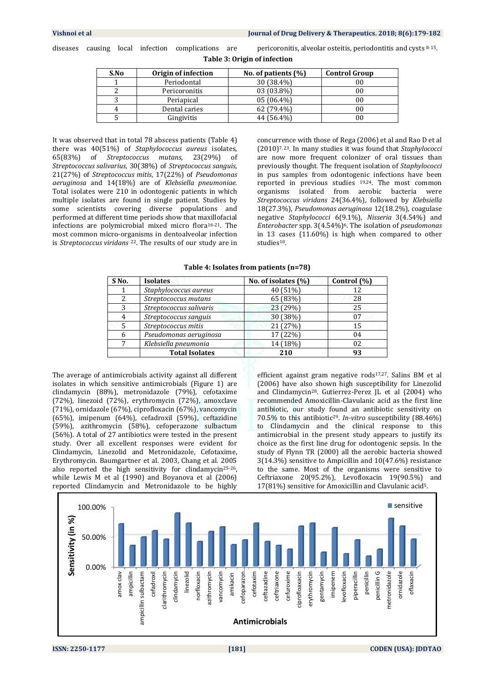diseases causing local infection complications are pericoronitis, alveolar osteitis, periodontitis and cysts 8-15.

| S.No | Origin of infection | No. of patients $(\%)$ | <b>Control Group</b> |
|------|---------------------|------------------------|----------------------|
|      | Periodontal         | 30 (38.4%)             | 00                   |
|      | Pericoronitis       | 03 (03.8%)             | 00                   |
|      | Periapical          | $05(06.4\%)$           | 00                   |
|      | Dental caries       | 62 (79.4%)             | 00                   |
|      | Gingivitis          | 44 (56.4%)             | 00                   |

**Table 3: Origin of infection**

It was observed that in total 78 abscess patients (Table 4) there was 40(51%) of *Staphylococcus aureus* isolates, 65(83%) of *Streptococcus mutans*, 23(29%) of *Streptococcus salivarius*, 30(38%) of *Streptococcus sanguis*, 21(27%) of *Streptococcus mitis*, 17(22%) of *Pseudomonas aeruginosa* and 14(18%) are of *Klebsiella pneumoniae*. Total isolates were 210 in odontogenic patients in which multiple isolates are found in single patient. Studies by some scientists covering diverse populations and performed at different time periods show that maxillofacial infections are polymicrobial mixed micro flora16-21. The most common micro-organisms in dentoalveolar infection is *Streptococcus viridans* <sup>22</sup>. The results of our study are in

concurrence with those of Rega (2006) et al and Rao D et al (2010)7, 23. In many studies it was found that *Staphylococci* are now more frequent colonizer of oral tissues than previously thought. The frequent isolation of *Staphylococci* in pus samples from odontogenic infections have been reported in previous studies 19,24. The most common organisms isolated from aerobic bacteria were *Streptococcus viridans* 24(36.4%), followed by *Klebsiella* 18(27.3%), *Pseudomonas aeruginosa* 12(18.2%), coagulase negative *Staphylococci* 6(9.1%), *Nisseria* 3(4.54%) and *Enterobacter* spp. 3(4.54%)6. The isolation of *pseudomonas* in 13 cases (11.60%) is high when compared to other studies<sup>10</sup>.

**Table 4: Isolates from patients (n=78)**

| S <sub>No.</sub> | <b>Isolates</b>         | No. of isolates (%) | Control (%) |
|------------------|-------------------------|---------------------|-------------|
|                  | Staphylococcus aureus   | 40 (51%)            | 12          |
|                  | Streptococcus mutans    | 65 (83%)            | 28          |
| 3                | Streptococcus salivaris | 23 (29%)            | 25          |
| 4                | Streptococcus sanguis   | 30 (38%)            | 07          |
| 5                | Streptococcus mitis     | 21 (27%)            | 15          |
| 6                | Pseudomonas aeruginosa  | 17 (22%)            | 04          |
|                  | Klebsiella pneumonia    | 14 (18%)            | 02          |
|                  | <b>Total Isolates</b>   | 210                 | 93          |

The average of antimicrobials activity against all different isolates in which sensitive antimicrobials (Figure 1) are clindamycin (88%), metronidazole (79%), cefotaxime (72%), linezoid (72%), erythromycin (72%), amoxclave (71%), ornidazole (67%), ciprofloxacin (67%), vancomycin (65%), imipenum (64%), cefadroxil (59%), ceftazidine (59%), azithromycin (58%), cefoperazone sulbactum (56%). A total of 27 antibiotics were tested in the present study. Over all excellent responses were evident for Clindamycin, Linezolid and Metronidazole, Cefotaxime, Erythromycin. Baumgartner et al. 2003, Chang et al. 2005 also reported the high sensitivity for clindamycin25-26, while Lewis M et al (1990) and Boyanova et al (2006) reported Clindamycin and Metronidazole to be highly

efficient against gram negative rods17,27. Salins BM et al (2006) have also shown high susceptibility for Linezolid and Clindamycin28. Gutierrez-Perez JL et al (2004) who recommended Amoxicillin-Clavulanic acid as the first line antibiotic, our study found an antibiotic sensitivity on 70.5% to this antibiotic29. *In-vitro* susceptibility (88.46%) to Clindamycin and the clinical response to this antimicrobial in the present study appears to justify its choice as the first line drug for odontogenic sepsis. In the study of Flynn TR (2000) all the aerobic bacteria showed 3(14.3%) sensitive to Ampicillin and 10(47.6%) resistance to the same. Most of the organisms were sensitive to Ceftriaxone 20(95.2%), Levofloxacin 19(90.5%) and 17(81%) sensitive for Amoxicillin and Clavulanic acid5.